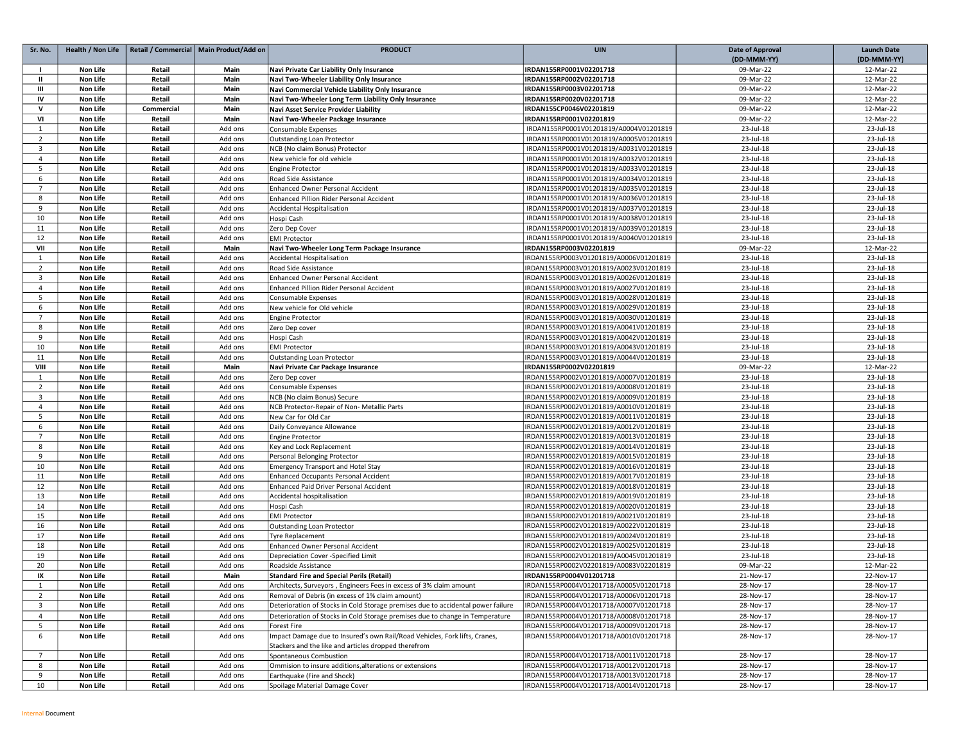| Sr. No.             | Health / Non Life    |            | Retail / Commercial   Main Product/Add on | <b>PRODUCT</b>                                                                   | <b>UIN</b>                             | <b>Date of Approval</b> | <b>Launch Date</b>     |
|---------------------|----------------------|------------|-------------------------------------------|----------------------------------------------------------------------------------|----------------------------------------|-------------------------|------------------------|
|                     |                      |            |                                           |                                                                                  |                                        | (DD-MMM-YY)             | (DD-MMM-YY)            |
| $\mathbf{I}$        | Non Life             | Retail     | Main                                      | Navi Private Car Liability Only Insurance                                        | IRDAN155RP0001V02201718                | 09-Mar-22               | 12-Mar-22              |
| $\mathbf{u}$        | Non Life             | Retail     | Main                                      | Navi Two-Wheeler Liability Only Insurance                                        | IRDAN155RP0002V02201718                | 09-Mar-22               | 12-Mar-22              |
| Ш                   | Non Life             | Retail     | Main                                      | Navi Commercial Vehicle Liability Only Insurance                                 | IRDAN155RP0003V02201718                | 09-Mar-22               | 12-Mar-22              |
| IV                  | <b>Non Life</b>      | Retail     | Main                                      | Navi Two-Wheeler Long Term Liability Only Insurance                              | IRDAN155RP0020V02201718                | 09-Mar-22               | 12-Mar-22              |
| $\mathsf{v}$        | <b>Non Life</b>      | Commercial | Main                                      | Navi Asset Service Provider Liability                                            | IRDAN155CP0046V02201819                | 09-Mar-22               | 12-Mar-22              |
| VI                  | Non Life             | Retail     | Main                                      | Navi Two-Wheeler Package Insurance                                               | IRDAN155RP0001V02201819                | 09-Mar-22               | 12-Mar-22              |
| 1                   | Non Life             | Retail     | Add ons                                   | Consumable Expenses                                                              | IRDAN155RP0001V01201819/A0004V01201819 | 23-Jul-18               | 23-Jul-18              |
| $\overline{2}$      | <b>Non Life</b>      | Retail     | Add ons                                   | <b>Outstanding Loan Protector</b>                                                | IRDAN155RP0001V01201819/A0005V01201819 | 23-Jul-18               | 23-Jul-18              |
| 3                   | <b>Non Life</b>      | Retail     | Add ons                                   | NCB (No claim Bonus) Protector                                                   | IRDAN155RP0001V01201819/A0031V01201819 | 23-Jul-18               | 23-Jul-18              |
| $\overline{4}$      | Non Life             | Retail     | Add ons                                   | New vehicle for old vehicle                                                      | IRDAN155RP0001V01201819/A0032V01201819 | 23-Jul-18               | 23-Jul-18              |
| 5                   | Non Life             | Retail     | Add ons                                   | <b>Engine Protector</b>                                                          | IRDAN155RP0001V01201819/A0033V01201819 | 23-Jul-18               | 23-Jul-18              |
| 6                   | Non Life             | Retail     | Add ons                                   | Road Side Assistance                                                             | IRDAN155RP0001V01201819/A0034V01201819 | 23-Jul-18               | 23-Jul-18              |
| $\overline{7}$      | <b>Non Life</b>      | Retail     | Add ons                                   | Enhanced Owner Personal Accident                                                 | IRDAN155RP0001V01201819/A0035V01201819 | 23-Jul-18               | 23-Jul-18              |
| 8                   | <b>Non Life</b>      | Retail     | Add ons                                   | <b>Enhanced Pillion Rider Personal Accident</b>                                  | IRDAN155RP0001V01201819/A0036V01201819 | 23-Jul-18               | 23-Jul-18              |
| 9                   | <b>Non Life</b>      | Retail     | Add ons                                   | <b>Accidental Hospitalisation</b>                                                | IRDAN155RP0001V01201819/A0037V01201819 | 23-Jul-18               | 23-Jul-18              |
| 10                  | Non Life             | Retail     | Add ons                                   | Hospi Cash                                                                       | IRDAN155RP0001V01201819/A0038V01201819 | 23-Jul-18               | 23-Jul-18              |
| 11                  | Non Life             | Retail     | Add ons                                   | Zero Dep Cover                                                                   | IRDAN155RP0001V01201819/A0039V01201819 | 23-Jul-18               | 23-Jul-18              |
| 12                  | Non Life             | Retail     | Add ons                                   | <b>EMI Protector</b>                                                             | IRDAN155RP0001V01201819/A0040V01201819 | 23-Jul-18               | 23-Jul-18              |
| VII                 | Non Life             | Retail     | Main                                      | Navi Two-Wheeler Long Term Package Insurance                                     | IRDAN155RP0003V02201819                | 09-Mar-22               | 12-Mar-22              |
| 1                   | <b>Non Life</b>      | Retail     | Add ons                                   | Accidental Hospitalisation                                                       | IRDAN155RP0003V01201819/A0006V01201819 | 23-Jul-18               | 23-Jul-18              |
| $\overline{2}$      | Non Life             | Retail     | Add ons                                   | Road Side Assistance                                                             | IRDAN155RP0003V01201819/A0023V01201819 | 23-Jul-18               | 23-Jul-18              |
| 3                   | Non Life             | Retail     | Add ons                                   | Enhanced Owner Personal Accident                                                 | IRDAN155RP0003V01201819/A0026V01201819 | 23-Jul-18               | 23-Jul-18              |
| $\overline{4}$      | Non Life             | Retail     | Add ons                                   | Enhanced Pillion Rider Personal Accident                                         | IRDAN155RP0003V01201819/A0027V01201819 | 23-Jul-18               | 23-Jul-18              |
| 5                   | Non Life             | Retail     | Add ons                                   | Consumable Expenses                                                              | IRDAN155RP0003V01201819/A0028V01201819 | 23-Jul-18               | 23-Jul-18              |
| 6                   | Non Life             | Retail     | Add ons                                   | New vehicle for Old vehicle                                                      | IRDAN155RP0003V01201819/A0029V01201819 | 23-Jul-18               | 23-Jul-18              |
| $\overline{7}$      | Non Life             | Retail     | Add ons                                   | <b>Engine Protector</b>                                                          | IRDAN155RP0003V01201819/A0030V01201819 | 23-Jul-18               | 23-Jul-18              |
| 8                   | <b>Non Life</b>      | Retail     | Add ons                                   | Zero Dep cover                                                                   | IRDAN155RP0003V01201819/A0041V01201819 | 23-Jul-18               | 23-Jul-18              |
| 9                   | Non Life             | Retail     | Add ons                                   | Hospi Cash                                                                       | IRDAN155RP0003V01201819/A0042V01201819 | 23-Jul-18               | 23-Jul-18              |
| 10                  | Non Life             | Retail     | Add ons                                   | <b>EMI Protector</b>                                                             | IRDAN155RP0003V01201819/A0043V01201819 | 23-Jul-18               | 23-Jul-18              |
| 11                  |                      |            |                                           |                                                                                  |                                        |                         |                        |
| VIII                | Non Life             | Retail     | Add ons                                   | Outstanding Loan Protector                                                       | IRDAN155RP0003V01201819/A0044V01201819 | 23-Jul-18               | 23-Jul-18              |
| $\mathbf{1}$        | Non Life<br>Non Life | Retail     | Main                                      | Navi Private Car Package Insurance                                               | IRDAN155RP0002V02201819                | 09-Mar-22<br>23-Jul-18  | 12-Mar-22<br>23-Jul-18 |
|                     |                      | Retail     | Add ons                                   | Zero Dep cover<br><b>Consumable Expenses</b>                                     | IRDAN155RP0002V01201819/A0007V01201819 |                         |                        |
| $\overline{2}$      | Non Life             | Retail     | Add ons                                   |                                                                                  | IRDAN155RP0002V01201819/A0008V01201819 | 23-Jul-18               | 23-Jul-18              |
| 3                   | <b>Non Life</b>      | Retail     | Add ons                                   | NCB (No claim Bonus) Secure                                                      | IRDAN155RP0002V01201819/A0009V01201819 | 23-Jul-18               | 23-Jul-18              |
| $\overline{4}$<br>5 | Non Life<br>Non Life | Retail     | Add ons                                   | NCB Protector-Repair of Non- Metallic Parts                                      | IRDAN155RP0002V01201819/A0010V01201819 | 23-Jul-18               | 23-Jul-18              |
|                     |                      | Retail     | Add ons                                   | New Car for Old Car                                                              | IRDAN155RP0002V01201819/A0011V01201819 | 23-Jul-18               | 23-Jul-18              |
| 6<br>$\overline{7}$ | <b>Non Life</b>      | Retail     | Add ons                                   | Daily Conveyance Allowance                                                       | IRDAN155RP0002V01201819/A0012V01201819 | 23-Jul-18               | 23-Jul-18              |
|                     | <b>Non Life</b>      | Retail     | Add ons                                   | <b>Engine Protector</b>                                                          | IRDAN155RP0002V01201819/A0013V01201819 | 23-Jul-18               | 23-Jul-18              |
| 8                   | Non Life             | Retail     | Add ons                                   | Key and Lock Replacement                                                         | IRDAN155RP0002V01201819/A0014V01201819 | 23-Jul-18               | 23-Jul-18              |
| 9                   | Non Life             | Retail     | Add ons                                   | Personal Belonging Protector                                                     | IRDAN155RP0002V01201819/A0015V01201819 | 23-Jul-18               | 23-Jul-18              |
| 10                  | Non Life             | Retail     | Add ons                                   | <b>Emergency Transport and Hotel Stay</b>                                        | IRDAN155RP0002V01201819/A0016V01201819 | 23-Jul-18               | 23-Jul-18              |
| 11                  | Non Life             | Retail     | Add ons                                   | <b>Enhanced Occupants Personal Accident</b>                                      | IRDAN155RP0002V01201819/A0017V01201819 | 23-Jul-18               | 23-Jul-18              |
| 12                  | <b>Non Life</b>      | Retail     | Add ons                                   | Enhanced Paid Driver Personal Accident                                           | IRDAN155RP0002V01201819/A0018V01201819 | 23-Jul-18               | 23-Jul-18              |
| 13                  | Non Life             | Retail     | Add ons                                   | Accidental hospitalisation                                                       | IRDAN155RP0002V01201819/A0019V01201819 | 23-Jul-18               | 23-Jul-18              |
| 14                  | <b>Non Life</b>      | Retail     | Add ons                                   | Hospi Cash                                                                       | IRDAN155RP0002V01201819/A0020V01201819 | 23-Jul-18               | 23-Jul-18              |
| 15                  | <b>Non Life</b>      | Retail     | Add ons                                   | <b>EMI Protector</b>                                                             | IRDAN155RP0002V01201819/A0021V01201819 | 23-Jul-18               | 23-Jul-18              |
| 16                  | Non Life             | Retail     | Add ons                                   | Outstanding Loan Protector                                                       | IRDAN155RP0002V01201819/A0022V01201819 | 23-Jul-18               | 23-Jul-18              |
| 17                  | <b>Non Life</b>      | Retail     | Add ons                                   | <b>Tyre Replacement</b>                                                          | IRDAN155RP0002V01201819/A0024V01201819 | 23-Jul-18               | 23-Jul-18              |
| 18                  | Non Life             | Retail     | Add ons                                   | <b>Enhanced Owner Personal Accident</b>                                          | IRDAN155RP0002V01201819/A0025V01201819 | 23-Jul-18               | 23-Jul-18              |
| 19                  | Non Life             | Retail     | Add ons                                   | Depreciation Cover -Specified Limit                                              | IRDAN155RP0002V01201819/A0045V01201819 | 23-Jul-18               | 23-Jul-18              |
| 20                  | Non Life             | Retail     | Add ons                                   | Roadside Assistance                                                              | IRDAN155RP0002V02201819/A0083V02201819 | 09-Mar-22               | 12-Mar-22              |
| IX                  | <b>Non Life</b>      | Retail     | Main                                      | <b>Standard Fire and Special Perils (Retail)</b>                                 | IRDAN155RP0004V01201718                | 21-Nov-17               | 22-Nov-17              |
| 1                   | Non Life             | Retail     | Add ons                                   | Architects, Surveyors, Engineers Fees in excess of 3% claim amount               | IRDAN155RP0004V01201718/A0005V01201718 | 28-Nov-17               | 28-Nov-17              |
| $\overline{2}$      | Non Life             | Retail     | Add ons                                   | Removal of Debris (in excess of 1% claim amount)                                 | IRDAN155RP0004V01201718/A0006V01201718 | 28-Nov-17               | 28-Nov-17              |
| $\overline{3}$      | Non Life             | Retail     | Add ons                                   | Deterioration of Stocks in Cold Storage premises due to accidental power failure | IRDAN155RP0004V01201718/A0007V01201718 | 28-Nov-17               | 28-Nov-17              |
| $\overline{4}$      | Non Life             | Retail     | Add ons                                   | Deterioration of Stocks in Cold Storage premises due to change in Temperature    | IRDAN155RP0004V01201718/A0008V01201718 | 28-Nov-17               | 28-Nov-17              |
| 5                   | Non Life             | Retail     | Add ons                                   | Forest Fire                                                                      | IRDAN155RP0004V01201718/A0009V01201718 | 28-Nov-17               | 28-Nov-17              |
| 6                   | Non Life             | Retail     | Add ons                                   | Impact Damage due to Insured's own Rail/Road Vehicles, Fork lifts, Cranes,       | IRDAN155RP0004V01201718/A0010V01201718 | 28-Nov-17               | 28-Nov-17              |
|                     |                      |            |                                           | Stackers and the like and articles dropped therefrom                             |                                        |                         |                        |
| $\overline{7}$      | <b>Non Life</b>      | Retail     | Add ons                                   | Spontaneous Combustion                                                           | IRDAN155RP0004V01201718/A0011V01201718 | 28-Nov-17               | 28-Nov-17              |
| 8                   | Non Life             | Retail     | Add ons                                   | Ommision to insure additions, alterations or extensions                          | IRDAN155RP0004V01201718/A0012V01201718 | 28-Nov-17               | 28-Nov-17              |
| 9                   | Non Life             | Retail     | Add ons                                   | Earthquake (Fire and Shock)                                                      | IRDAN155RP0004V01201718/A0013V01201718 | 28-Nov-17               | 28-Nov-17              |
| 10                  | Non Life             | Retail     | Add ons                                   | Spoilage Material Damage Cover                                                   | IRDAN155RP0004V01201718/A0014V01201718 | 28-Nov-17               | 28-Nov-17              |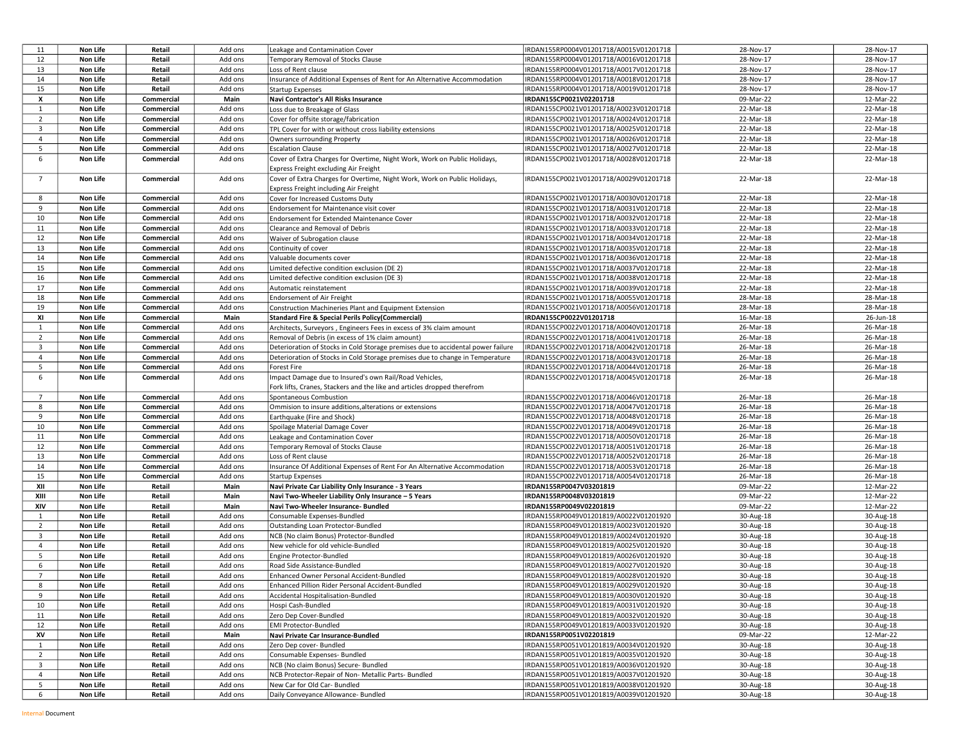| 11             | Non Life        | Retail     | Add ons | Leakage and Contamination Cover                                                  | IRDAN155RP0004V01201718/A0015V01201718 | 28-Nov-17 | 28-Nov-17 |
|----------------|-----------------|------------|---------|----------------------------------------------------------------------------------|----------------------------------------|-----------|-----------|
| 12             | Non Life        | Retail     | Add ons | Temporary Removal of Stocks Clause                                               | IRDAN155RP0004V01201718/A0016V01201718 | 28-Nov-17 | 28-Nov-17 |
| 13             | Non Life        | Retail     | Add ons | Loss of Rent clause                                                              | IRDAN155RP0004V01201718/A0017V01201718 | 28-Nov-17 | 28-Nov-17 |
| 14             | Non Life        | Retail     | Add ons | Insurance of Additional Expenses of Rent for An Alternative Accommodation        | IRDAN155RP0004V01201718/A0018V01201718 | 28-Nov-17 | 28-Nov-17 |
| 15             | Non Life        | Retail     | Add ons | <b>Startup Expenses</b>                                                          | IRDAN155RP0004V01201718/A0019V01201718 | 28-Nov-17 | 28-Nov-17 |
| х              | Non Life        | Commercial | Main    | Navi Contractor's All Risks Insurance                                            | IRDAN155CP0021V02201718                | 09-Mar-22 | 12-Mar-22 |
| 1              | Non Life        | Commercial | Add ons | Loss due to Breakage of Glass                                                    | IRDAN155CP0021V01201718/A0023V01201718 | 22-Mar-18 | 22-Mar-18 |
| $\overline{2}$ | Non Life        | Commercial | Add ons | Cover for offsite storage/fabrication                                            | IRDAN155CP0021V01201718/A0024V01201718 | 22-Mar-18 | 22-Mar-18 |
| 3              | Non Life        | Commercial | Add ons | TPL Cover for with or without cross liability extensions                         | IRDAN155CP0021V01201718/A0025V01201718 | 22-Mar-18 | 22-Mar-18 |
| $\overline{4}$ | Non Life        | Commercial | Add ons | <b>Owners surrounding Property</b>                                               | IRDAN155CP0021V01201718/A0026V01201718 | 22-Mar-18 | 22-Mar-18 |
| 5              | Non Life        | Commercial | Add ons | <b>Escalation Clause</b>                                                         | IRDAN155CP0021V01201718/A0027V01201718 | 22-Mar-18 | 22-Mar-18 |
| 6              | Non Life        | Commercial | Add ons | Cover of Extra Charges for Overtime, Night Work, Work on Public Holidays,        | IRDAN155CP0021V01201718/A0028V01201718 | 22-Mar-18 | 22-Mar-18 |
|                |                 |            |         | Express Freight excluding Air Freight                                            |                                        |           |           |
| $\overline{7}$ | Non Life        | Commercial | Add ons | Cover of Extra Charges for Overtime, Night Work, Work on Public Holidays,        | IRDAN155CP0021V01201718/A0029V01201718 | 22-Mar-18 | 22-Mar-18 |
|                |                 |            |         | Express Freight including Air Freight                                            |                                        |           |           |
| 8              | Non Life        | Commercial | Add ons | Cover for Increased Customs Duty                                                 | IRDAN155CP0021V01201718/A0030V01201718 | 22-Mar-18 | 22-Mar-18 |
| 9              | Non Life        | Commercial | Add ons | Endorsement for Maintenance visit cover                                          | IRDAN155CP0021V01201718/A0031V01201718 | 22-Mar-18 | 22-Mar-18 |
| 10             | Non Life        | Commercial | Add ons | Endorsement for Extended Maintenance Cover                                       | IRDAN155CP0021V01201718/A0032V01201718 | 22-Mar-18 | 22-Mar-18 |
| 11             | Non Life        | Commercial | Add ons | Clearance and Removal of Debris                                                  | IRDAN155CP0021V01201718/A0033V01201718 | 22-Mar-18 | 22-Mar-18 |
| 12             | Non Life        | Commercial | Add ons | Waiver of Subrogation clause                                                     | IRDAN155CP0021V01201718/A0034V01201718 | 22-Mar-18 | 22-Mar-18 |
| 13             | Non Life        | Commercial | Add ons | Continuity of cover                                                              | IRDAN155CP0021V01201718/A0035V01201718 | 22-Mar-18 | 22-Mar-18 |
| 14             | Non Life        | Commercial | Add ons | Valuable documents cover                                                         | IRDAN155CP0021V01201718/A0036V01201718 | 22-Mar-18 | 22-Mar-18 |
| 15             | Non Life        | Commercial | Add ons | Limited defective condition exclusion (DE 2)                                     | IRDAN155CP0021V01201718/A0037V01201718 | 22-Mar-18 | 22-Mar-18 |
| 16             | Non Life        | Commercial | Add ons | Limited defective condition exclusion (DE 3)                                     | IRDAN155CP0021V01201718/A0038V01201718 | 22-Mar-18 | 22-Mar-18 |
| 17             | Non Life        | Commercial | Add ons | Automatic reinstatement                                                          | IRDAN155CP0021V01201718/A0039V01201718 | 22-Mar-18 | 22-Mar-18 |
| 18             | Non Life        | Commercial | Add ons | <b>Endorsement of Air Freight</b>                                                | IRDAN155CP0021V01201718/A0055V01201718 | 28-Mar-18 | 28-Mar-18 |
| 19             | Non Life        | Commercial | Add ons | Construction Machineries Plant and Equipment Extension                           | IRDAN155CP0021V01201718/A0056V01201718 | 28-Mar-18 | 28-Mar-18 |
| XI             | Non Life        | Commercial | Main    | <b>Standard Fire &amp; Special Perils Policy(Commercial)</b>                     | IRDAN155CP0022V01201718                | 16-Mar-18 | 26-Jun-18 |
| 1              | Non Life        | Commercial | Add ons | Architects, Surveyors, Engineers Fees in excess of 3% claim amount               | IRDAN155CP0022V01201718/A0040V01201718 | 26-Mar-18 | 26-Mar-18 |
| $\overline{2}$ | Non Life        | Commercial | Add ons | Removal of Debris (in excess of 1% claim amount)                                 | IRDAN155CP0022V01201718/A0041V01201718 | 26-Mar-18 | 26-Mar-18 |
| 3              | Non Life        | Commercial | Add ons | Deterioration of Stocks in Cold Storage premises due to accidental power failure | IRDAN155CP0022V01201718/A0042V01201718 | 26-Mar-18 | 26-Mar-18 |
| $\overline{4}$ | Non Life        | Commercial | Add ons | Deterioration of Stocks in Cold Storage premises due to change in Temperature    | IRDAN155CP0022V01201718/A0043V01201718 | 26-Mar-18 | 26-Mar-18 |
| 5              | Non Life        | Commercial | Add ons | Forest Fire                                                                      | IRDAN155CP0022V01201718/A0044V01201718 | 26-Mar-18 | 26-Mar-18 |
| 6              | Non Life        | Commercial | Add ons | Impact Damage due to Insured's own Rail/Road Vehicles,                           | IRDAN155CP0022V01201718/A0045V01201718 | 26-Mar-18 | 26-Mar-18 |
|                |                 |            |         | Fork lifts, Cranes, Stackers and the like and articles dropped therefrom         |                                        |           |           |
| $\overline{7}$ | Non Life        | Commercial | Add ons | Spontaneous Combustion                                                           | IRDAN155CP0022V01201718/A0046V01201718 | 26-Mar-18 | 26-Mar-18 |
| 8              | Non Life        | Commercial | Add ons | Ommision to insure additions, alterations or extensions                          | IRDAN155CP0022V01201718/A0047V01201718 | 26-Mar-18 | 26-Mar-18 |
| 9              | Non Life        | Commercial | Add ons | Earthquake (Fire and Shock)                                                      | IRDAN155CP0022V01201718/A0048V01201718 | 26-Mar-18 | 26-Mar-18 |
| 10             | Non Life        | Commercial | Add ons | Spoilage Material Damage Cover                                                   | IRDAN155CP0022V01201718/A0049V01201718 | 26-Mar-18 | 26-Mar-18 |
| 11             | Non Life        | Commercial | Add ons | Leakage and Contamination Cover                                                  | IRDAN155CP0022V01201718/A0050V01201718 | 26-Mar-18 | 26-Mar-18 |
| 12             | Non Life        | Commercial | Add ons | Temporary Removal of Stocks Clause                                               | IRDAN155CP0022V01201718/A0051V01201718 | 26-Mar-18 | 26-Mar-18 |
| 13             | Non Life        | Commercial | Add ons | Loss of Rent clause                                                              | IRDAN155CP0022V01201718/A0052V01201718 | 26-Mar-18 | 26-Mar-18 |
| 14             | Non Life        | Commercial | Add ons | Insurance Of Additional Expenses of Rent For An Alternative Accommodation        | IRDAN155CP0022V01201718/A0053V01201718 | 26-Mar-18 | 26-Mar-18 |
| 15             | Non Life        | Commercial | Add ons | <b>Startup Expenses</b>                                                          | IRDAN155CP0022V01201718/A0054V01201718 | 26-Mar-18 | 26-Mar-18 |
| XII            | Non Life        | Retail     | Main    | Navi Private Car Liability Only Insurance - 3 Years                              | IRDAN155RP0047V03201819                | 09-Mar-22 | 12-Mar-22 |
| XIII           | Non Life        | Retail     | Main    | Navi Two-Wheeler Liability Only Insurance - 5 Years                              | IRDAN155RP0048V03201819                | 09-Mar-22 | 12-Mar-22 |
| XIV            | Non Life        | Retail     | Main    | Navi Two-Wheeler Insurance- Bundled                                              | IRDAN155RP0049V02201819                | 09-Mar-22 | 12-Mar-22 |
| $\mathbf{1}$   | Non Life        | Retail     | Add ons | Consumable Expenses-Bundled                                                      | IRDAN155RP0049V01201819/A0022V01201920 | 30-Aug-18 | 30-Aug-18 |
| $\overline{2}$ | Non Life        | Retail     | Add ons | Outstanding Loan Protector-Bundled                                               | IRDAN155RP0049V01201819/A0023V01201920 | 30-Aug-18 | 30-Aug-18 |
| 3              | Non Life        | Retail     | Add ons | NCB (No claim Bonus) Protector-Bundled                                           | IRDAN155RP0049V01201819/A0024V01201920 | 30-Aug-18 | 30-Aug-18 |
| $\overline{4}$ | Non Life        | Retail     | Add ons | New vehicle for old vehicle-Bundled                                              | IRDAN155RP0049V01201819/A0025V01201920 | 30-Aug-18 | 30-Aug-18 |
| 5              | Non Life        | Retail     | Add ons | Engine Protector-Bundled                                                         | IRDAN155RP0049V01201819/A0026V01201920 | 30-Aug-18 | 30-Aug-18 |
| 6              | Non Life        | Retail     | Add ons | Road Side Assistance-Bundled                                                     | IRDAN155RP0049V01201819/A0027V01201920 | 30-Aug-18 | 30-Aug-18 |
| $\overline{7}$ | Non Life        | Retail     | Add ons | Enhanced Owner Personal Accident-Bundled                                         | IRDAN155RP0049V01201819/A0028V01201920 | 30-Aug-18 | 30-Aug-18 |
| 8              | Non Life        | Retail     | Add ons | Enhanced Pillion Rider Personal Accident-Bundled                                 | IRDAN155RP0049V01201819/A0029V01201920 | 30-Aug-18 | 30-Aug-18 |
| 9              | Non Life        | Retail     | Add ons | Accidental Hospitalisation-Bundled                                               | IRDAN155RP0049V01201819/A0030V01201920 | 30-Aug-18 | 30-Aug-18 |
| 10             | <b>Non Life</b> | Retail     | Add ons | Hospi Cash-Bundled                                                               | IRDAN155RP0049V01201819/A0031V01201920 | 30-Aug-18 | 30-Aug-18 |
| 11             | Non Life        | Retail     | Add ons | Zero Dep Cover-Bundled                                                           | IRDAN155RP0049V01201819/A0032V01201920 | 30-Aug-18 | 30-Aug-18 |
| 12             | Non Life        | Retail     | Add ons | EMI Protector-Bundled                                                            | IRDAN155RP0049V01201819/A0033V01201920 | 30-Aug-18 | 30-Aug-18 |
| XV             | Non Life        | Retail     | Main    | Navi Private Car Insurance-Bundled                                               | IRDAN155RP0051V02201819                | 09-Mar-22 | 12-Mar-22 |
| 1              | Non Life        | Retail     | Add ons | Zero Dep cover- Bundled                                                          | IRDAN155RP0051V01201819/A0034V01201920 | 30-Aug-18 | 30-Aug-18 |
| $\overline{2}$ | Non Life        | Retail     | Add ons | Consumable Expenses- Bundled                                                     | IRDAN155RP0051V01201819/A0035V01201920 | 30-Aug-18 | 30-Aug-18 |
| 3              | Non Life        | Retail     | Add ons | NCB (No claim Bonus) Secure- Bundled                                             | IRDAN155RP0051V01201819/A0036V01201920 | 30-Aug-18 | 30-Aug-18 |
| 4              | Non Life        | Retail     | Add ons | NCB Protector-Repair of Non- Metallic Parts- Bundled                             | IRDAN155RP0051V01201819/A0037V01201920 | 30-Aug-18 | 30-Aug-18 |
| 5              | Non Life        | Retail     | Add ons | New Car for Old Car- Bundled                                                     | IRDAN155RP0051V01201819/A0038V01201920 | 30-Aug-18 | 30-Aug-18 |
| 6              | <b>Non Life</b> | Retail     | Add ons | Daily Conveyance Allowance- Bundled                                              | IRDAN155RP0051V01201819/A0039V01201920 | 30-Aug-18 | 30-Aug-18 |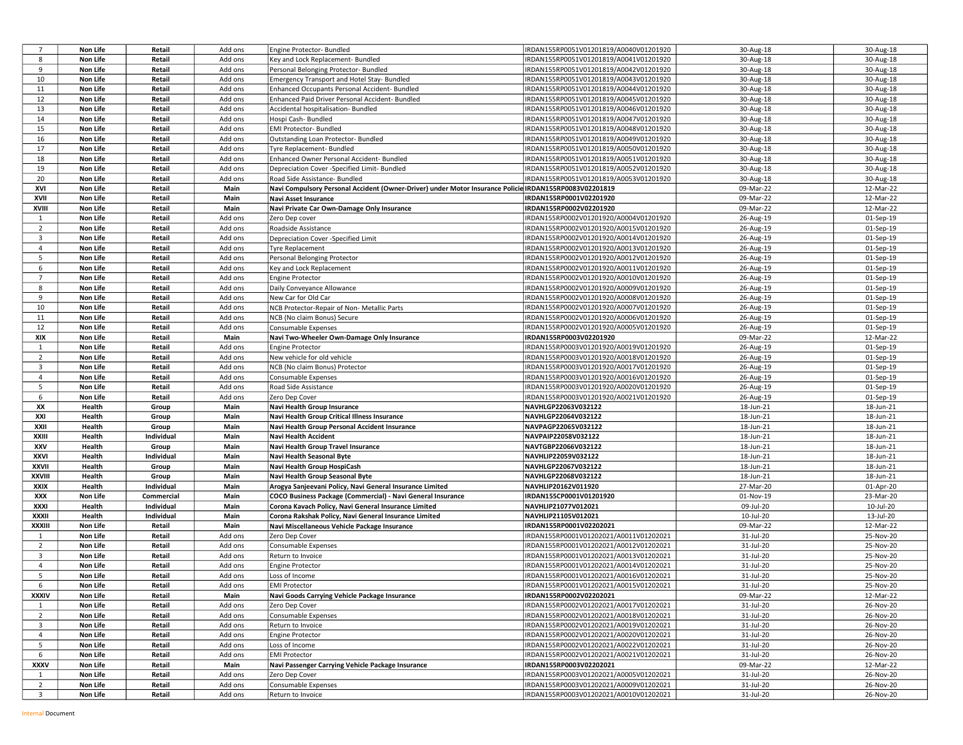| $\overline{7}$ | Non Life        | Retail     | Add ons | Engine Protector- Bundled                                                                              | IRDAN155RP0051V01201819/A0040V01201920 | 30-Aug-18 | 30-Aug-18 |
|----------------|-----------------|------------|---------|--------------------------------------------------------------------------------------------------------|----------------------------------------|-----------|-----------|
| 8              | Non Life        | Retail     | Add ons | Key and Lock Replacement- Bundled                                                                      | IRDAN155RP0051V01201819/A0041V01201920 | 30-Aug-18 | 30-Aug-18 |
| 9              | Non Life        | Retail     | Add ons | Personal Belonging Protector- Bundled                                                                  | IRDAN155RP0051V01201819/A0042V01201920 | 30-Aug-18 | 30-Aug-18 |
| 10             | Non Life        | Retail     | Add ons | Emergency Transport and Hotel Stay- Bundled                                                            | IRDAN155RP0051V01201819/A0043V01201920 | 30-Aug-18 | 30-Aug-18 |
| 11             | Non Life        | Retail     | Add ons | Enhanced Occupants Personal Accident- Bundled                                                          | IRDAN155RP0051V01201819/A0044V01201920 | 30-Aug-18 | 30-Aug-18 |
| 12             | Non Life        | Retail     | Add ons | Enhanced Paid Driver Personal Accident- Bundled                                                        | IRDAN155RP0051V01201819/A0045V01201920 | 30-Aug-18 | 30-Aug-18 |
| 13             | Non Life        | Retail     | Add ons | Accidental hospitalisation- Bundled                                                                    | IRDAN155RP0051V01201819/A0046V01201920 | 30-Aug-18 | 30-Aug-18 |
| 14             | Non Life        | Retail     | Add ons | Hospi Cash- Bundled                                                                                    | IRDAN155RP0051V01201819/A0047V01201920 | 30-Aug-18 | 30-Aug-18 |
| 15             | Non Life        | Retail     | Add ons | <b>EMI Protector- Bundled</b>                                                                          | IRDAN155RP0051V01201819/A0048V01201920 | 30-Aug-18 | 30-Aug-18 |
| 16             | Non Life        | Retail     | Add ons | Outstanding Loan Protector- Bundled                                                                    | IRDAN155RP0051V01201819/A0049V01201920 | 30-Aug-18 | 30-Aug-18 |
| 17             | Non Life        | Retail     | Add ons | Tyre Replacement- Bundled                                                                              | IRDAN155RP0051V01201819/A0050V01201920 | 30-Aug-18 | 30-Aug-18 |
| 18             | Non Life        | Retail     | Add ons |                                                                                                        |                                        | 30-Aug-18 |           |
| 19             |                 |            |         | Enhanced Owner Personal Accident- Bundled                                                              | IRDAN155RP0051V01201819/A0051V01201920 |           | 30-Aug-18 |
|                | Non Life        | Retail     | Add ons | Depreciation Cover -Specified Limit- Bundled                                                           | IRDAN155RP0051V01201819/A0052V01201920 | 30-Aug-18 | 30-Aug-18 |
| 20             | Non Life        | Retail     | Add ons | Road Side Assistance- Bundled                                                                          | IRDAN155RP0051V01201819/A0053V01201920 | 30-Aug-18 | 30-Aug-18 |
| XVI            | Non Life        | Retail     | Main    | Navi Compulsory Personal Accident (Owner-Driver) under Motor Insurance Policie IRDAN155RP0083V02201819 |                                        | 09-Mar-22 | 12-Mar-22 |
| XVII           | <b>Non Life</b> | Retail     | Main    | Navi Asset Insurance                                                                                   | IRDAN155RP0001V02201920                | 09-Mar-22 | 12-Mar-22 |
| XVIII          | Non Life        | Retail     | Main    | Navi Private Car Own-Damage Only Insurance                                                             | IRDAN155RP0002V02201920                | 09-Mar-22 | 12-Mar-22 |
| 1              | Non Life        | Retail     | Add ons | Zero Dep cover                                                                                         | IRDAN155RP0002V01201920/A0004V01201920 | 26-Aug-19 | 01-Sep-19 |
| $\overline{2}$ | Non Life        | Retail     | Add ons | Roadside Assistance                                                                                    | IRDAN155RP0002V01201920/A0015V01201920 | 26-Aug-19 | 01-Sep-19 |
| 3              | Non Life        | Retail     | Add ons | Depreciation Cover -Specified Limit                                                                    | IRDAN155RP0002V01201920/A0014V01201920 | 26-Aug-19 | 01-Sep-19 |
| $\overline{4}$ | Non Life        | Retail     | Add ons | <b>Tyre Replacement</b>                                                                                | IRDAN155RP0002V01201920/A0013V01201920 | 26-Aug-19 | 01-Sep-19 |
| 5              | Non Life        | Retail     | Add ons | Personal Belonging Protector                                                                           | IRDAN155RP0002V01201920/A0012V01201920 | 26-Aug-19 | 01-Sep-19 |
| 6              | Non Life        | Retail     | Add ons | Key and Lock Replacement                                                                               | IRDAN155RP0002V01201920/A0011V01201920 | 26-Aug-19 | 01-Sep-19 |
| $7^{\circ}$    | Non Life        | Retail     | Add ons | <b>Engine Protector</b>                                                                                | IRDAN155RP0002V01201920/A0010V01201920 | 26-Aug-19 | 01-Sep-19 |
| 8              | Non Life        | Retail     | Add ons | Daily Conveyance Allowance                                                                             | IRDAN155RP0002V01201920/A0009V01201920 | 26-Aug-19 | 01-Sep-19 |
| 9              | Non Life        | Retail     | Add ons | New Car for Old Car                                                                                    | IRDAN155RP0002V01201920/A0008V01201920 | 26-Aug-19 | 01-Sep-19 |
| 10             | Non Life        | Retail     | Add ons | NCB Protector-Repair of Non- Metallic Parts                                                            | IRDAN155RP0002V01201920/A0007V01201920 | 26-Aug-19 | 01-Sep-19 |
| 11             | Non Life        | Retail     | Add ons | NCB (No claim Bonus) Secure                                                                            | IRDAN155RP0002V01201920/A0006V01201920 | 26-Aug-19 | 01-Sep-19 |
| 12             | Non Life        | Retail     | Add ons | Consumable Expenses                                                                                    | IRDAN155RP0002V01201920/A0005V01201920 | 26-Aug-19 | 01-Sep-19 |
| XIX            | Non Life        | Retail     | Main    |                                                                                                        | IRDAN155RP0003V02201920                | 09-Mar-22 | 12-Mar-22 |
|                |                 |            |         | Navi Two-Wheeler Own-Damage Only Insurance                                                             |                                        |           |           |
| 1              | Non Life        | Retail     | Add ons | <b>Engine Protector</b>                                                                                | IRDAN155RP0003V01201920/A0019V01201920 | 26-Aug-19 | 01-Sep-19 |
| $\overline{2}$ | Non Life        | Retail     | Add ons | New vehicle for old vehicle                                                                            | IRDAN155RP0003V01201920/A0018V01201920 | 26-Aug-19 | 01-Sep-19 |
| 3              | Non Life        | Retail     | Add ons | NCB (No claim Bonus) Protector                                                                         | IRDAN155RP0003V01201920/A0017V01201920 | 26-Aug-19 | 01-Sep-19 |
| $\overline{4}$ | Non Life        | Retail     | Add ons | Consumable Expenses                                                                                    | IRDAN155RP0003V01201920/A0016V01201920 | 26-Aug-19 | 01-Sep-19 |
| 5              | Non Life        | Retail     | Add ons | Road Side Assistance                                                                                   | IRDAN155RP0003V01201920/A0020V01201920 | 26-Aug-19 | 01-Sep-19 |
| 6              | Non Life        | Retail     | Add ons | Zero Dep Cover                                                                                         | IRDAN155RP0003V01201920/A0021V01201920 | 26-Aug-19 | 01-Sep-19 |
| XX             | Health          | Group      | Main    | Navi Health Group Insurance                                                                            | NAVHLGP22063V032122                    | 18-Jun-21 | 18-Jun-21 |
| XXI            | Health          | Group      | Main    | Navi Health Group Critical Illness Insurance                                                           | NAVHLGP22064V032122                    | 18-Jun-21 | 18-Jun-21 |
| XXII           | Health          | Group      | Main    | Navi Health Group Personal Accident Insurance                                                          | NAVPAGP22065V032122                    | 18-Jun-21 | 18-Jun-21 |
| XXIII          | Health          | Individual | Main    | <b>Navi Health Accident</b>                                                                            | NAVPAIP22058V032122                    | 18-Jun-21 | 18-Jun-21 |
| XXV            | Health          | Group      | Main    | Navi Health Group Travel Insurance                                                                     | NAVTGBP22066V032122                    | 18-Jun-21 | 18-Jun-21 |
| XXVI           | Health          | Individual | Main    | Navi Health Seasonal Byte                                                                              | NAVHLIP22059V032122                    | 18-Jun-21 | 18-Jun-21 |
| XXVII          | Health          | Group      | Main    | Navi Health Group HospiCash                                                                            | NAVHLGP22067V032122                    | 18-Jun-21 | 18-Jun-21 |
| XXVIII         | Health          | Group      | Main    | Navi Health Group Seasonal Byte                                                                        | NAVHLGP22068V032122                    | 18-Jun-21 | 18-Jun-21 |
| XXIX           | Health          | Individual | Main    | Arogya Sanjeevani Policy, Navi General Insurance Limited                                               | NAVHLIP20162V011920                    | 27-Mar-20 | 01-Apr-20 |
| XXX            | Non Life        | Commercial | Main    | COCO Business Package (Commercial) - Navi General Insurance                                            | IRDAN155CP0001V01201920                | 01-Nov-19 | 23-Mar-20 |
| XXXI           | Health          | Individual | Main    | Corona Kavach Policy, Navi General Insurance Limited                                                   | NAVHLIP21077V012021                    | 09-Jul-20 | 10-Jul-20 |
| XXXII          | Health          | Individual | Main    | Corona Rakshak Policy, Navi General Insurance Limited                                                  | NAVHLIP21105V012021                    | 10-Jul-20 | 13-Jul-20 |
| XXXIII         | Non Life        | Retail     | Main    | Navi Miscellaneous Vehicle Package Insurance                                                           | IRDAN155RP0001V02202021                | 09-Mar-22 | 12-Mar-22 |
| 1              | Non Life        | Retail     | Add ons | Zero Dep Cover                                                                                         | IRDAN155RP0001V01202021/A0011V01202021 | 31-Jul-20 | 25-Nov-20 |
| $\overline{2}$ | Non Life        | Retail     | Add ons | Consumable Expenses                                                                                    | IRDAN155RP0001V01202021/A0012V01202021 | 31-Jul-20 | 25-Nov-20 |
|                |                 |            |         |                                                                                                        |                                        |           |           |
| 3              | Non Life        | Retail     | Add ons | Return to Invoice                                                                                      | IRDAN155RP0001V01202021/A0013V01202021 | 31-Jul-20 | 25-Nov-20 |
| $\overline{4}$ | Non Life        | Retail     | Add ons | <b>Engine Protector</b>                                                                                | IRDAN155RP0001V01202021/A0014V01202021 | 31-Jul-20 | 25-Nov-20 |
| 5              | Non Life        | Retail     | Add ons | Loss of Income                                                                                         | IRDAN155RP0001V01202021/A0016V01202021 | 31-Jul-20 | 25-Nov-20 |
| 6              | Non Life        | Retail     | Add ons | <b>EMI Protector</b>                                                                                   | IRDAN155RP0001V01202021/A0015V01202021 | 31-Jul-20 | 25-Nov-20 |
| XXXIV          | Non Life        | Retail     | Main    | Navi Goods Carrying Vehicle Package Insurance                                                          | IRDAN155RP0002V02202021                | 09-Mar-22 | 12-Mar-22 |
| 1              | <b>Non Life</b> | Retail     | Add ons | Zero Dep Cover                                                                                         | IRDAN155RP0002V01202021/A0017V01202021 | 31-Jul-20 | 26-Nov-20 |
| $\overline{2}$ | Non Life        | Retail     | Add ons | Consumable Expenses                                                                                    | IRDAN155RP0002V01202021/A0018V01202021 | 31-Jul-20 | 26-Nov-20 |
| 3              | Non Life        | Retail     | Add ons | Return to Invoice                                                                                      | IRDAN155RP0002V01202021/A0019V01202021 | 31-Jul-20 | 26-Nov-20 |
| 4              | Non Life        | Retail     | Add ons | <b>Engine Protector</b>                                                                                | IRDAN155RP0002V01202021/A0020V01202021 | 31-Jul-20 | 26-Nov-20 |
| 5              | Non Life        | Retail     | Add ons | Loss of Income                                                                                         | IRDAN155RP0002V01202021/A0022V01202021 | 31-Jul-20 | 26-Nov-20 |
| 6              | Non Life        | Retail     | Add ons | <b>EMI Protector</b>                                                                                   | IRDAN155RP0002V01202021/A0021V01202021 | 31-Jul-20 | 26-Nov-20 |
| XXXV           | Non Life        | Retail     | Main    | Navi Passenger Carrying Vehicle Package Insurance                                                      | IRDAN155RP0003V02202021                | 09-Mar-22 | 12-Mar-22 |
| 1              | Non Life        | Retail     | Add ons | Zero Dep Cover                                                                                         | IRDAN155RP0003V01202021/A0005V01202021 | 31-Jul-20 | 26-Nov-20 |
| $\overline{2}$ | <b>Non Life</b> | Retail     | Add ons | Consumable Expenses                                                                                    | IRDAN155RP0003V01202021/A0009V01202021 | 31-Jul-20 | 26-Nov-20 |
|                |                 |            |         |                                                                                                        | IRDAN155RP0003V01202021/A0010V01202021 | 31-Jul-20 | 26-Nov-20 |
| $\overline{3}$ | <b>Non Life</b> | Retail     | Add ons | Return to Invoice                                                                                      |                                        |           |           |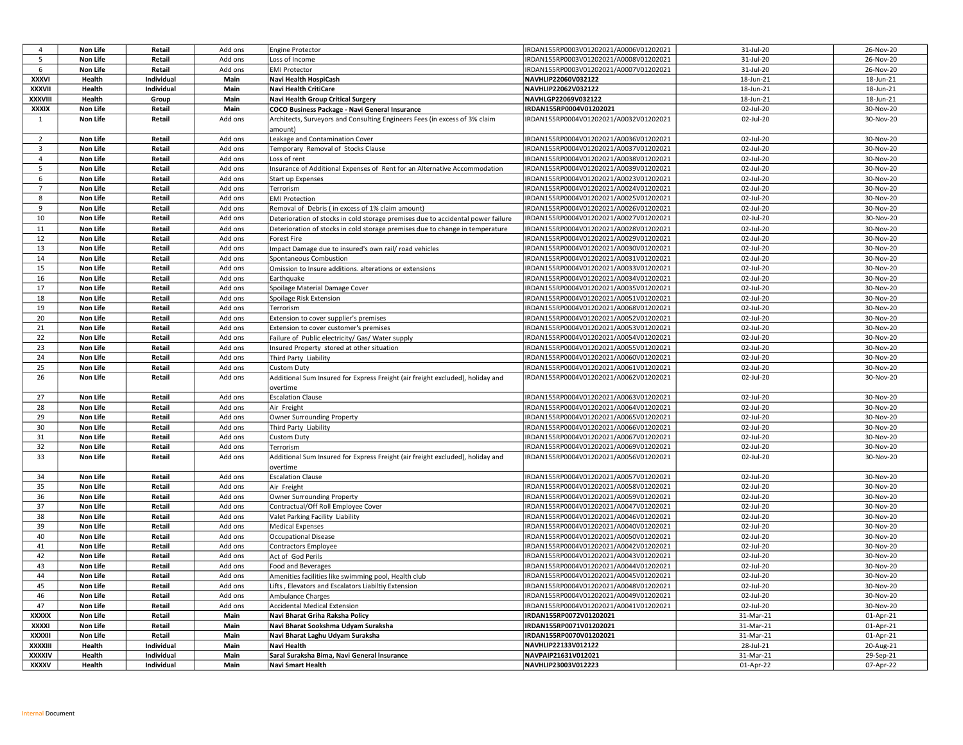| 4              | Non Life        | Retail     | Add ons | Engine Protector                                                                 | IRDAN155RP0003V01202021/A0006V01202021 | 31-Jul-20 | 26-Nov-20 |
|----------------|-----------------|------------|---------|----------------------------------------------------------------------------------|----------------------------------------|-----------|-----------|
| 5              | Non Life        | Retail     | Add ons | Loss of Income                                                                   | IRDAN155RP0003V01202021/A0008V01202021 | 31-Jul-20 | 26-Nov-20 |
| 6              | Non Life        | Retail     | Add ons | <b>EMI Protector</b>                                                             | IRDAN155RP0003V01202021/A0007V01202021 | 31-Jul-20 | 26-Nov-20 |
| XXXVI          | Health          | Individual | Main    | Navi Health HospiCash                                                            | NAVHLIP22060V032122                    | 18-Jun-21 | 18-Jun-21 |
| XXXVII         | Health          | Individual | Main    | <b>Navi Health CritiCare</b>                                                     | NAVHLIP22062V032122                    | 18-Jun-21 | 18-Jun-21 |
| XXXVIII        | Health          | Group      | Main    | Navi Health Group Critical Surgery                                               | NAVHLGP22069V032122                    | 18-Jun-21 | 18-Jun-21 |
| XXXIX          | Non Life        | Retail     | Main    | COCO Business Package - Navi General Insurance                                   | IRDAN155RP0004V01202021                | 02-Jul-20 | 30-Nov-20 |
| $\mathbf{1}$   | Non Life        | Retail     | Add ons | Architects, Surveyors and Consulting Engineers Fees (in excess of 3% claim       | IRDAN155RP0004V01202021/A0032V01202021 | 02-Jul-20 | 30-Nov-20 |
|                |                 |            |         | amount)                                                                          |                                        |           |           |
| $\overline{2}$ | Non Life        | Retail     | Add ons | Leakage and Contamination Cover                                                  | IRDAN155RP0004V01202021/A0036V01202021 | 02-Jul-20 | 30-Nov-20 |
| $\overline{3}$ | Non Life        | Retail     | Add ons | Temporary Removal of Stocks Clause                                               | IRDAN155RP0004V01202021/A0037V01202021 | 02-Jul-20 | 30-Nov-20 |
| 4              | Non Life        | Retail     | Add ons | Loss of rent                                                                     | IRDAN155RP0004V01202021/A0038V01202021 | 02-Jul-20 | 30-Nov-20 |
| 5              | Non Life        | Retail     | Add ons | Insurance of Additional Expenses of Rent for an Alternative Accommodation        | IRDAN155RP0004V01202021/A0039V01202021 | 02-Jul-20 | 30-Nov-20 |
| 6              | Non Life        | Retail     | Add ons | Start up Expenses                                                                | IRDAN155RP0004V01202021/A0023V01202021 | 02-Jul-20 | 30-Nov-20 |
| $\overline{7}$ | Non Life        | Retail     | Add ons | Terrorism                                                                        | IRDAN155RP0004V01202021/A0024V01202021 | 02-Jul-20 | 30-Nov-20 |
| 8              | Non Life        | Retail     | Add ons | <b>EMI Protection</b>                                                            | IRDAN155RP0004V01202021/A0025V01202021 | 02-Jul-20 | 30-Nov-20 |
| 9              | Non Life        | Retail     | Add ons | Removal of Debris (in excess of 1% claim amount)                                 | IRDAN155RP0004V01202021/A0026V01202021 | 02-Jul-20 | 30-Nov-20 |
| 10             | Non Life        | Retail     | Add ons | Deterioration of stocks in cold storage premises due to accidental power failure | IRDAN155RP0004V01202021/A0027V01202021 | 02-Jul-20 | 30-Nov-20 |
| 11             | Non Life        | Retail     | Add ons | Deterioration of stocks in cold storage premises due to change in temperature    | IRDAN155RP0004V01202021/A0028V01202021 | 02-Jul-20 | 30-Nov-20 |
| 12             | Non Life        | Retail     | Add ons | Forest Fire                                                                      | IRDAN155RP0004V01202021/A0029V01202021 | 02-Jul-20 | 30-Nov-20 |
| 13             | Non Life        | Retail     | Add ons | Impact Damage due to insured's own rail/ road vehicles                           | IRDAN155RP0004V01202021/A0030V01202021 | 02-Jul-20 | 30-Nov-20 |
| 14             | Non Life        | Retail     | Add ons | Spontaneous Combustion                                                           | IRDAN155RP0004V01202021/A0031V01202021 | 02-Jul-20 | 30-Nov-20 |
| 15             | Non Life        | Retail     | Add ons | Omission to Insure additions. alterations or extensions                          | IRDAN155RP0004V01202021/A0033V01202021 | 02-Jul-20 | 30-Nov-20 |
| 16             | Non Life        | Retail     | Add ons |                                                                                  | IRDAN155RP0004V01202021/A0034V01202021 | 02-Jul-20 | 30-Nov-20 |
| 17             | Non Life        | Retail     | Add ons | Earthquake                                                                       | IRDAN155RP0004V01202021/A0035V01202021 | 02-Jul-20 | 30-Nov-20 |
| 18             | Non Life        | Retail     | Add ons | Spoilage Material Damage Cover                                                   | IRDAN155RP0004V01202021/A0051V01202021 | 02-Jul-20 | 30-Nov-20 |
| 19             | <b>Non Life</b> | Retail     | Add ons | Spoilage Risk Extension<br>Terrorism                                             | IRDAN155RP0004V01202021/A0068V01202021 | 02-Jul-20 | 30-Nov-20 |
| 20             | Non Life        | Retail     | Add ons | Extension to cover supplier's premises                                           | IRDAN155RP0004V01202021/A0052V01202021 | 02-Jul-20 | 30-Nov-20 |
| 21             | Non Life        | Retail     | Add ons | Extension to cover customer's premises                                           | IRDAN155RP0004V01202021/A0053V01202021 | 02-Jul-20 | 30-Nov-20 |
| 22             | Non Life        | Retail     | Add ons | Failure of Public electricity/ Gas/ Water supply                                 | IRDAN155RP0004V01202021/A0054V01202021 | 02-Jul-20 | 30-Nov-20 |
| 23             | Non Life        | Retail     | Add ons | Insured Property stored at other situation                                       | IRDAN155RP0004V01202021/A0055V01202021 | 02-Jul-20 | 30-Nov-20 |
| 24             | Non Life        | Retail     | Add ons | Third Party Liability                                                            | IRDAN155RP0004V01202021/A0060V01202021 | 02-Jul-20 | 30-Nov-20 |
| 25             | Non Life        | Retail     | Add ons | <b>Custom Duty</b>                                                               | IRDAN155RP0004V01202021/A0061V01202021 | 02-Jul-20 | 30-Nov-20 |
| 26             | Non Life        | Retail     | Add ons | Additional Sum Insured for Express Freight (air freight excluded), holiday and   | IRDAN155RP0004V01202021/A0062V01202021 | 02-Jul-20 | 30-Nov-20 |
|                |                 |            |         | overtime                                                                         |                                        |           |           |
| 27             | Non Life        | Retail     | Add ons | <b>Escalation Clause</b>                                                         | IRDAN155RP0004V01202021/A0063V01202021 | 02-Jul-20 | 30-Nov-20 |
| 28             | Non Life        | Retail     | Add ons | Air Freight                                                                      | IRDAN155RP0004V01202021/A0064V01202021 | 02-Jul-20 | 30-Nov-20 |
| 29             | Non Life        | Retail     | Add ons | Owner Surrounding Property                                                       | IRDAN155RP0004V01202021/A0065V01202021 | 02-Jul-20 | 30-Nov-20 |
| 30             | Non Life        | Retail     | Add ons | Third Party Liability                                                            | IRDAN155RP0004V01202021/A0066V01202021 | 02-Jul-20 | 30-Nov-20 |
| 31             | Non Life        | Retail     | Add ons | <b>Custom Duty</b>                                                               | IRDAN155RP0004V01202021/A0067V01202021 | 02-Jul-20 | 30-Nov-20 |
| 32             | Non Life        | Retail     | Add ons | Terrorism                                                                        | IRDAN155RP0004V01202021/A0069V01202021 | 02-Jul-20 | 30-Nov-20 |
| 33             | Non Life        | Retail     | Add ons | Additional Sum Insured for Express Freight (air freight excluded), holiday and   | IRDAN155RP0004V01202021/A0056V01202021 | 02-Jul-20 | 30-Nov-20 |
|                |                 |            |         | overtime                                                                         |                                        |           |           |
| 34             | Non Life        | Retail     | Add ons | <b>Escalation Clause</b>                                                         | IRDAN155RP0004V01202021/A0057V01202021 | 02-Jul-20 | 30-Nov-20 |
| 35             | Non Life        | Retail     | Add ons | Air Freight                                                                      | IRDAN155RP0004V01202021/A0058V01202021 | 02-Jul-20 | 30-Nov-20 |
| 36             | Non Life        | Retail     | Add ons | Owner Surrounding Property                                                       | IRDAN155RP0004V01202021/A0059V01202021 | 02-Jul-20 | 30-Nov-20 |
| 37             | Non Life        | Retail     | Add ons | Contractual/Off Roll Employee Cover                                              | IRDAN155RP0004V01202021/A0047V01202021 | 02-Jul-20 | 30-Nov-20 |
| 38             | Non Life        | Retail     | Add ons | Valet Parking Facility Liability                                                 | IRDAN155RP0004V01202021/A0046V01202021 | 02-Jul-20 | 30-Nov-20 |
| 39             | Non Life        | Retail     | Add ons | Medical Expenses                                                                 | IRDAN155RP0004V01202021/A0040V01202021 | 02-Jul-20 | 30-Nov-20 |
| 40             | Non Life        | Retail     | Add ons | <b>Occupational Disease</b>                                                      | IRDAN155RP0004V01202021/A0050V01202021 | 02-Jul-20 | 30-Nov-20 |
| 41             | Non Life        | Retail     | Add ons | <b>Contractors Employee</b>                                                      | IRDAN155RP0004V01202021/A0042V01202021 | 02-Jul-20 | 30-Nov-20 |
| 42             | Non Life        | Retail     | Add ons | Act of God Perils                                                                | IRDAN155RP0004V01202021/A0043V01202021 | 02-Jul-20 | 30-Nov-20 |
| 43             | Non Life        | Retail     | Add ons | Food and Beverages                                                               | IRDAN155RP0004V01202021/A0044V01202021 | 02-Jul-20 | 30-Nov-20 |
| 44             | Non Life        | Retail     | Add ons | Amenities facilities like swimming pool, Health club                             | IRDAN155RP0004V01202021/A0045V01202021 | 02-Jul-20 | 30-Nov-20 |
| 45             | Non Life        | Retail     | Add ons | Lifts, Elevators and Escalators Liabiltiy Extension                              | IRDAN155RP0004V01202021/A0048V01202021 | 02-Jul-20 | 30-Nov-20 |
| 46             | Non Life        | Retail     | Add ons | Ambulance Charges                                                                | IRDAN155RP0004V01202021/A0049V01202021 | 02-Jul-20 | 30-Nov-20 |
| 47             | Non Life        | Retail     | Add ons | Accidental Medical Extension                                                     | IRDAN155RP0004V01202021/A0041V01202021 | 02-Jul-20 | 30-Nov-20 |
| xxxxx          | Non Life        | Retail     | Main    | Navi Bharat Griha Raksha Policy                                                  | IRDAN155RP0072V01202021                | 31-Mar-21 | 01-Apr-21 |
| XXXXI          | Non Life        | Retail     | Main    | Navi Bharat Sookshma Udyam Suraksha                                              | IRDAN155RP0071V01202021                | 31-Mar-21 | 01-Apr-21 |
| xxxxii         | Non Life        | Retail     | Main    | Navi Bharat Laghu Udyam Suraksha                                                 | IRDAN155RP0070V01202021                | 31-Mar-21 | 01-Apr-21 |
| XXXXIII        | Health          | Individual | Main    | Navi Health                                                                      | NAVHLIP22133V012122                    | 28-Jul-21 | 20-Aug-21 |
| XXXXIV         | Health          | Individual | Main    | Saral Suraksha Bima, Navi General Insurance                                      | NAVPAIP21631V012021                    | 31-Mar-21 | 29-Sep-21 |
| XXXXV          | Health          | Individual | Main    | Navi Smart Health                                                                | NAVHLIP23003V012223                    | 01-Apr-22 | 07-Apr-22 |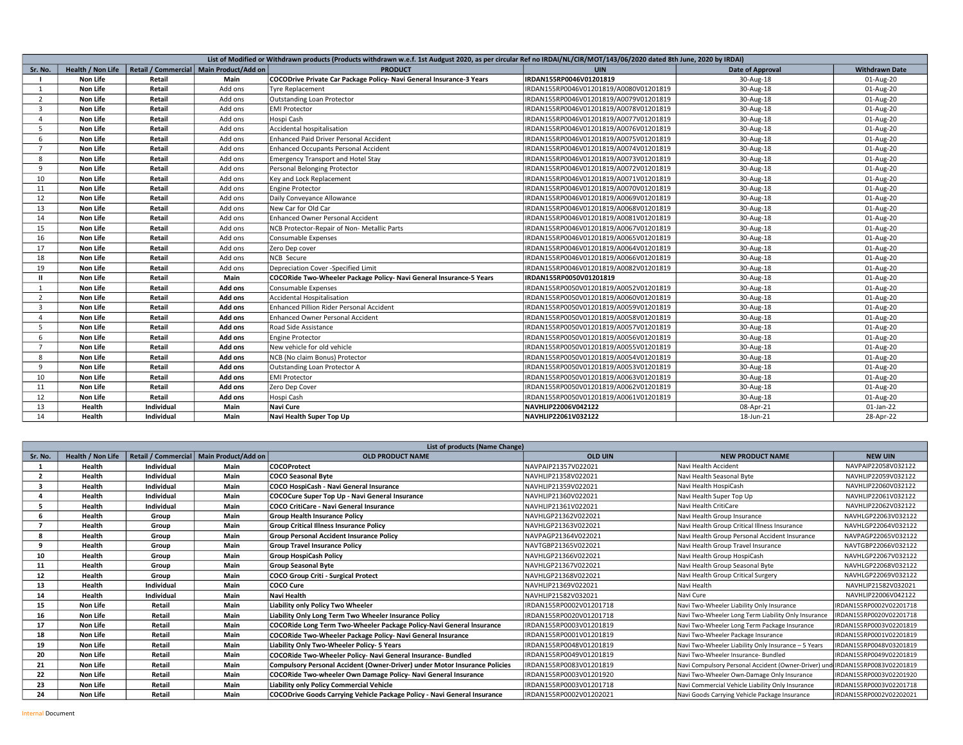| List of Modified or Withdrawn products (Products withdrawn w.e.f. 1st Audgust 2020, as per circular Ref no IRDAI/NL/CIR/MOT/143/06/2020 dated 8th June, 2020 by IRDAI) |                   |            |                                           |                                                                      |                                        |                         |                       |  |
|------------------------------------------------------------------------------------------------------------------------------------------------------------------------|-------------------|------------|-------------------------------------------|----------------------------------------------------------------------|----------------------------------------|-------------------------|-----------------------|--|
| Sr. No.                                                                                                                                                                | Health / Non Life |            | Retail / Commercial   Main Product/Add on | <b>PRODUCT</b>                                                       | <b>UIN</b>                             | <b>Date of Approval</b> | <b>Withdrawn Date</b> |  |
|                                                                                                                                                                        | Non Life          | Retail     | Main                                      | COCODrive Private Car Package Policy- Navi General Insurance-3 Years | IRDAN155RP0046V01201819                | 30-Aug-18               | 01-Aug-20             |  |
| 1                                                                                                                                                                      | Non Life          | Retail     | Add ons                                   | <b>Tyre Replacement</b>                                              | IRDAN155RP0046V01201819/A0080V01201819 | 30-Aug-18               | 01-Aug-20             |  |
| $\overline{2}$                                                                                                                                                         | Non Life          | Retail     | Add ons                                   | Outstanding Loan Protector                                           | IRDAN155RP0046V01201819/A0079V01201819 | 30-Aug-18               | 01-Aug-20             |  |
| $\overline{3}$                                                                                                                                                         | Non Life          | Retail     | Add ons                                   | <b>EMI Protector</b>                                                 | IRDAN155RP0046V01201819/A0078V01201819 | 30-Aug-18               | 01-Aug-20             |  |
| $\overline{a}$                                                                                                                                                         | Non Life          | Retail     | Add ons                                   | Hospi Cash                                                           | IRDAN155RP0046V01201819/A0077V01201819 | 30-Aug-18               | 01-Aug-20             |  |
| -5                                                                                                                                                                     | Non Life          | Retail     | Add ons                                   | Accidental hospitalisation                                           | IRDAN155RP0046V01201819/A0076V01201819 | 30-Aug-18               | 01-Aug-20             |  |
| 6                                                                                                                                                                      | Non Life          | Retail     | Add ons                                   | Enhanced Paid Driver Personal Accident                               | IRDAN155RP0046V01201819/A0075V01201819 | 30-Aug-18               | 01-Aug-20             |  |
| $\overline{7}$                                                                                                                                                         | Non Life          | Retail     | Add ons                                   | <b>Enhanced Occupants Personal Accident</b>                          | IRDAN155RP0046V01201819/A0074V01201819 | 30-Aug-18               | 01-Aug-20             |  |
| 8                                                                                                                                                                      | Non Life          | Retail     | Add ons                                   | <b>Emergency Transport and Hotel Stay</b>                            | IRDAN155RP0046V01201819/A0073V01201819 | 30-Aug-18               | 01-Aug-20             |  |
| q                                                                                                                                                                      | Non Life          | Retail     | Add ons                                   | Personal Belonging Protector                                         | IRDAN155RP0046V01201819/A0072V01201819 | 30-Aug-18               | 01-Aug-20             |  |
| 10                                                                                                                                                                     | Non Life          | Retail     | Add ons                                   | Key and Lock Replacement                                             | IRDAN155RP0046V01201819/A0071V01201819 | 30-Aug-18               | 01-Aug-20             |  |
| 11                                                                                                                                                                     | Non Life          | Retail     | Add ons                                   | <b>Engine Protector</b>                                              | IRDAN155RP0046V01201819/A0070V01201819 | 30-Aug-18               | 01-Aug-20             |  |
| 12                                                                                                                                                                     | Non Life          | Retail     | Add ons                                   | Daily Conveyance Allowance                                           | IRDAN155RP0046V01201819/A0069V01201819 | 30-Aug-18               | 01-Aug-20             |  |
| 13                                                                                                                                                                     | Non Life          | Retail     | Add ons                                   | New Car for Old Car                                                  | IRDAN155RP0046V01201819/A0068V01201819 | 30-Aug-18               | 01-Aug-20             |  |
| 14                                                                                                                                                                     | Non Life          | Retail     | Add ons                                   | <b>Enhanced Owner Personal Accident</b>                              | IRDAN155RP0046V01201819/A0081V01201819 | 30-Aug-18               | 01-Aug-20             |  |
| 15                                                                                                                                                                     | Non Life          | Retail     | Add ons                                   | NCB Protector-Repair of Non- Metallic Parts                          | IRDAN155RP0046V01201819/A0067V01201819 | 30-Aug-18               | 01-Aug-20             |  |
| 16                                                                                                                                                                     | Non Life          | Retail     | Add ons                                   | Consumable Expenses                                                  | IRDAN155RP0046V01201819/A0065V01201819 | 30-Aug-18               | 01-Aug-20             |  |
| 17                                                                                                                                                                     | Non Life          | Retail     | Add ons                                   | Zero Dep cover                                                       | IRDAN155RP0046V01201819/A0064V01201819 | 30-Aug-18               | 01-Aug-20             |  |
| 18                                                                                                                                                                     | Non Life          | Retail     | Add ons                                   | NCB Secure                                                           | IRDAN155RP0046V01201819/A0066V01201819 | 30-Aug-18               | 01-Aug-20             |  |
| 19                                                                                                                                                                     | Non Life          | Retail     | Add ons                                   | Depreciation Cover -Specified Limit                                  | IRDAN155RP0046V01201819/A0082V01201819 | 30-Aug-18               | 01-Aug-20             |  |
|                                                                                                                                                                        | Non Life          | Retail     | Main                                      | COCORide Two-Wheeler Package Policy- Navi General Insurance-5 Years  | IRDAN155RP0050V01201819                | 30-Aug-18               | 01-Aug-20             |  |
|                                                                                                                                                                        | Non Life          | Retail     | Add ons                                   | Consumable Expenses                                                  | IRDAN155RP0050V01201819/A0052V01201819 | 30-Aug-18               | 01-Aug-20             |  |
| $\overline{2}$                                                                                                                                                         | Non Life          | Retail     | Add ons                                   | Accidental Hospitalisation                                           | IRDAN155RP0050V01201819/A0060V01201819 | 30-Aug-18               | 01-Aug-20             |  |
| $\overline{3}$                                                                                                                                                         | Non Life          | Retail     | Add ons                                   | Enhanced Pillion Rider Personal Accident                             | IRDAN155RP0050V01201819/A0059V01201819 | 30-Aug-18               | 01-Aug-20             |  |
| $\mathbf{A}$                                                                                                                                                           | Non Life          | Retail     | Add ons                                   | <b>Enhanced Owner Personal Accident</b>                              | IRDAN155RP0050V01201819/A0058V01201819 | 30-Aug-18               | 01-Aug-20             |  |
| $\overline{5}$                                                                                                                                                         | Non Life          | Retail     | Add ons                                   | Road Side Assistance                                                 | IRDAN155RP0050V01201819/A0057V01201819 | 30-Aug-18               | 01-Aug-20             |  |
| 6                                                                                                                                                                      | Non Life          | Retail     | Add ons                                   | <b>Engine Protector</b>                                              | IRDAN155RP0050V01201819/A0056V01201819 | 30-Aug-18               | 01-Aug-20             |  |
| $\overline{7}$                                                                                                                                                         | Non Life          | Retail     | Add ons                                   | New vehicle for old vehicle                                          | IRDAN155RP0050V01201819/A0055V01201819 | 30-Aug-18               | 01-Aug-20             |  |
| 8                                                                                                                                                                      | Non Life          | Retail     | Add ons                                   | NCB (No claim Bonus) Protector                                       | IRDAN155RP0050V01201819/A0054V01201819 | 30-Aug-18               | 01-Aug-20             |  |
| $\mathbf{Q}$                                                                                                                                                           | Non Life          | Retail     | Add ons                                   | Outstanding Loan Protector A                                         | IRDAN155RP0050V01201819/A0053V01201819 | 30-Aug-18               | 01-Aug-20             |  |
| 10                                                                                                                                                                     | Non Life          | Retail     | Add ons                                   | <b>EMI Protector</b>                                                 | IRDAN155RP0050V01201819/A0063V01201819 | 30-Aug-18               | 01-Aug-20             |  |
| 11                                                                                                                                                                     | Non Life          | Retail     | Add ons                                   | Zero Dep Cover                                                       | IRDAN155RP0050V01201819/A0062V01201819 | 30-Aug-18               | 01-Aug-20             |  |
| 12                                                                                                                                                                     | Non Life          | Retail     | Add ons                                   | Hospi Cash                                                           | IRDAN155RP0050V01201819/A0061V01201819 | 30-Aug-18               | 01-Aug-20             |  |
| 13                                                                                                                                                                     | Health            | Individual | Main                                      | Navi Cure                                                            | NAVHLIP22006V042122                    | 08-Apr-21               | 01-Jan-22             |  |
| 14                                                                                                                                                                     | Health            | Individual | Main                                      | Navi Health Super Top Up                                             | NAVHLIP22061V032122                    | 18-Jun-21               | 28-Apr-22             |  |

|         | List of products (Name Change) |            |                                           |                                                                                 |                         |                                                                              |                         |  |  |
|---------|--------------------------------|------------|-------------------------------------------|---------------------------------------------------------------------------------|-------------------------|------------------------------------------------------------------------------|-------------------------|--|--|
| Sr. No. | Health / Non Life              |            | Retail / Commercial   Main Product/Add on | <b>OLD PRODUCT NAME</b>                                                         | <b>OLD UIN</b>          | <b>NEW PRODUCT NAME</b>                                                      | <b>NEW UIN</b>          |  |  |
|         | Health                         | Individual | Main                                      | <b>COCOProtect</b>                                                              | NAVPAIP21357V022021     | Navi Health Accident                                                         | NAVPAIP22058V032122     |  |  |
|         | Health                         | Individual | Main                                      | <b>COCO Seasonal Byte</b>                                                       | NAVHLIP21358V022021     | Navi Health Seasonal Byte                                                    | NAVHLIP22059V032122     |  |  |
|         | Health                         | Individual | Main                                      | COCO HospiCash - Navi General Insurance                                         | NAVHLIP21359V022021     | Navi Health HospiCash                                                        | NAVHLIP22060V032122     |  |  |
|         | Health                         | Individual | Main                                      | COCOCure Super Top Up - Navi General Insurance                                  | NAVHLIP21360V022021     | Navi Health Super Top Up                                                     | NAVHLIP22061V032122     |  |  |
|         | Health                         | Individual | Main                                      | <b>COCO CritiCare - Navi General Insurance</b>                                  | NAVHLIP21361V022021     | Navi Health CritiCare                                                        | NAVHLIP22062V032122     |  |  |
|         | Health                         | Group      | Main                                      | <b>Group Health Insurance Policy</b>                                            | NAVHLGP21362V022021     | Navi Health Group Insurance                                                  | NAVHLGP22063V032122     |  |  |
|         | Health                         | Group      | Main                                      | <b>Group Critical Illness Insurance Policy</b>                                  | NAVHLGP21363V022021     | Navi Health Group Critical Illness Insurance                                 | NAVHLGP22064V032122     |  |  |
|         | Health                         | Group      | Main                                      | <b>Group Personal Accident Insurance Policy</b>                                 | NAVPAGP21364V022021     | Navi Health Group Personal Accident Insurance                                | NAVPAGP22065V032122     |  |  |
|         | Health                         | Group      | Main                                      | <b>Group Travel Insurance Policy</b>                                            | NAVTGBP21365V022021     | Navi Health Group Travel Insurance                                           | NAVTGBP22066V032122     |  |  |
| 10      | Health                         | Group      | Main                                      | <b>Group HospiCash Policy</b>                                                   | NAVHLGP21366V022021     | Navi Health Group HospiCash                                                  | NAVHLGP22067V032122     |  |  |
| 11      | Health                         | Group      | Main                                      | <b>Group Seasonal Byte</b>                                                      | NAVHLGP21367V022021     | Navi Health Group Seasonal Byte                                              | NAVHLGP22068V032122     |  |  |
| 12      | Health                         | Group      | Main                                      | COCO Group Criti - Surgical Protect                                             | NAVHLGP21368V022021     | Navi Health Group Critical Surgery                                           | NAVHLGP22069V032122     |  |  |
| 13      | Health                         | Individual | Main                                      | COCO Cure                                                                       | NAVHLIP21369V022021     | Navi Health                                                                  | NAVHLIP21582V032021     |  |  |
| 14      | Health                         | Individual | Main                                      | Navi Health                                                                     | NAVHLIP21582V032021     | Navi Cure                                                                    | NAVHLIP22006V042122     |  |  |
| 15      | Non Life                       | Retail     | Main                                      | Liability only Policy Two Wheeler                                               | IRDAN155RP0002V01201718 | Navi Two-Wheeler Liability Only Insurance                                    | IRDAN155RP0002V02201718 |  |  |
| 16      | Non Life                       | Retail     | Main                                      | Liability Only Long Term Two Wheeler Insurance Policy                           | IRDAN155RP0020V01201718 | Navi Two-Wheeler Long Term Liability Only Insurance                          | IRDAN155RP0020V02201718 |  |  |
| 17      | Non Life                       | Retail     | Main                                      | COCORide Long Term Two-Wheeler Package Policy-Navi General Insurance            | IRDAN155RP0003V01201819 | Navi Two-Wheeler Long Term Package Insurance                                 | IRDAN155RP0003V02201819 |  |  |
| 18      | Non Life                       | Retail     | Main                                      | COCORide Two-Wheeler Package Policy- Navi General Insurance                     | IRDAN155RP0001V01201819 | Navi Two-Wheeler Package Insurance                                           | IRDAN155RP0001V02201819 |  |  |
| 19      | Non Life                       | Retail     | Main                                      | Liability Only Two-Wheeler Policy- 5 Years                                      | RDAN155RP0048V01201819  | Navi Two-Wheeler Liability Only Insurance - 5 Years                          | IRDAN155RP0048V03201819 |  |  |
| 20      | Non Life                       | Retail     | Main                                      | COCORide Two-Wheeler Policy- Navi General Insurance- Bundled                    | RDAN155RP0049V01201819  | Navi Two-Wheeler Insurance- Bundled                                          | IRDAN155RP0049V02201819 |  |  |
| 21      | Non Life                       | Retail     | Main                                      | Compulsory Personal Accident (Owner-Driver) under Motor Insurance Policies      | RDAN155RP0083V01201819  | Navi Compulsory Personal Accident (Owner-Driver) und IRDAN155RP0083V02201819 |                         |  |  |
| 22      | Non Life                       | Retail     | Main                                      | COCORide Two-wheeler Own Damage Policy- Navi General Insurance                  | IRDAN155RP0003V01201920 | Navi Two-Wheeler Own-Damage Only Insurance                                   | IRDAN155RP0003V02201920 |  |  |
| 23      | Non Life                       | Retail     | Main                                      | Liability only Policy Commercial Vehicle                                        | IRDAN155RP0003V01201718 | Navi Commercial Vehicle Liability Only Insurance                             | IRDAN155RP0003V02201718 |  |  |
| 24      | Non Life                       | Retail     | Main                                      | <b>COCODrive Goods Carrying Vehicle Package Policy - Navi General Insurance</b> | IRDAN155RP0002V01202021 | Navi Goods Carrying Vehicle Package Insurance                                | IRDAN155RP0002V02202021 |  |  |